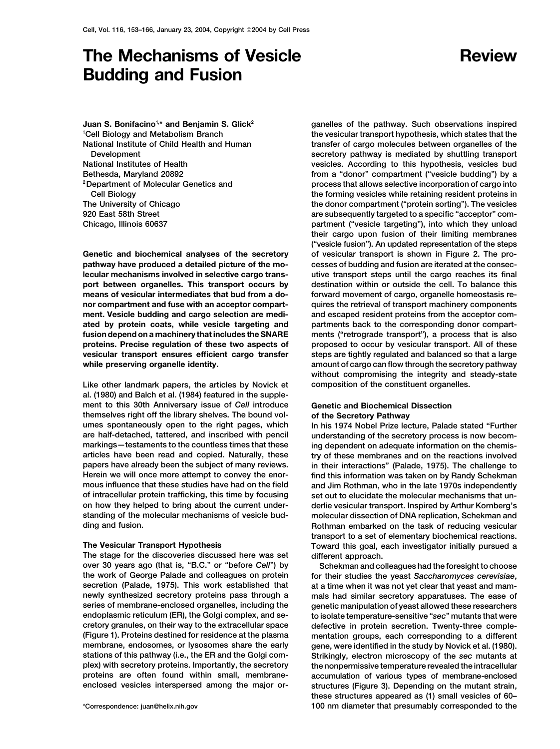# **The Mechanisms of Vesicle Review Budding and Fusion**

**Juan S. Bonifacino1,\* and Benjamin S. Glick2 1 Cell Biology and Metabolism Branch National Institute of Child Health and Human**

**pathway have produced a detailed picture of the mo- cesses of budding and fusion are iterated at the conseclecular mechanisms involved in selective cargo trans- utive transport steps until the cargo reaches its final port between organelles. This transport occurs by destination within or outside the cell. To balance this means of vesicular intermediates that bud from a do- forward movement of cargo, organelle homeostasis renor compartment and fuse with an acceptor compart- quires the retrieval of transport machinery components ment. Vesicle budding and cargo selection are medi- and escaped resident proteins from the acceptor comated by protein coats, while vesicle targeting and partments back to the corresponding donor compartfusion depend on a machinery that includes the SNARE ments ("retrograde transport"), a process that is also proteins. Precise regulation of these two aspects of proposed to occur by vesicular transport. All of these vesicular transport ensures efficient cargo transfer steps are tightly regulated and balanced so that a large while preserving organelle identity. amount of cargo can flow through the secretory pathway**

**Like other landmark papers, the articles by Novick et composition of the constituent organelles. al. (1980) and Balch et al. (1984) featured in the supplement to this 30th Anniversary issue of** *Cell* **introduce Genetic and Biochemical Dissection themselves right off the library shelves. The bound vol- of the Secretory Pathway umes spontaneously open to the right pages, which In his 1974 Nobel Prize lecture, Palade stated "Further are half-detached, tattered, and inscribed with pencil understanding of the secretory process is now becomarticles have been read and copied. Naturally, these try of these membranes and on the reactions involved Herein we will once more attempt to convey the enor- find this information was taken on by Randy Schekman of intracellular protein trafficking, this time by focusing set out to elucidate the molecular mechanisms that unon how they helped to bring about the current under- derlie vesicular transport. Inspired by Arthur Kornberg's standing of the molecular mechanisms of vesicle bud- molecular dissection of DNA replication, Schekman and**

**The stage for the discoveries discussed here was set different approach. over 30 years ago (that is, "B.C." or "before** *Cell***") by Schekman and colleagues had the foresight to choose the work of George Palade and colleagues on protein for their studies the yeast** *Saccharomyces cerevisiae***, secretion (Palade, 1975). This work established that at a time when it was not yet clear that yeast and mamnewly synthesized secretory proteins pass through a mals had similar secretory apparatuses. The ease of series of membrane-enclosed organelles, including the genetic manipulation of yeast allowed these researchers endoplasmic reticulum (ER), the Golgi complex, and se- to isolate temperature-sensitive "***sec***" mutants that were (Figure 1). Proteins destined for residence at the plasma mentation groups, each corresponding to a different membrane, endosomes, or lysosomes share the early gene, were identified in the study by Novick et al. (1980). stations of this pathway (i.e., the ER and the Golgi com- Strikingly, electron microscopy of the** *sec* **mutants at plex) with secretory proteins. Importantly, the secretory the nonpermissive temperature revealed the intracellular proteins are often found within small, membrane- accumulation of various types of membrane-enclosed**

**ganelles of the pathway. Such observations inspired the vesicular transport hypothesis, which states that the transfer of cargo molecules between organelles of the Development secretory pathway is mediated by shuttling transport National Institutes of Health vesicles. According to this hypothesis, vesicles bud Bethesda, Maryland 20892 from a "donor" compartment ("vesicle budding") by a process that allows selective incorporation of cargo into 2Department of Molecular Genetics and Cell Biology the forming vesicles while retaining resident proteins in The University of Chicago the donor compartment ("protein sorting"). The vesicles 920 East 58th Street are subsequently targeted to a specific "acceptor" com-Chicago, Illinois 60637 partment ("vesicle targeting"), into which they unload their cargo upon fusion of their limiting membranes ("vesicle fusion"). An updated representation of the steps Genetic and biochemical analyses of the secretory of vesicular transport is shown in Figure 2. The prowithout compromising the integrity and steady-state**

ing dependent on adequate information on the chemisin their interactions" (Palade, 1975). The challenge to and Jim Rothman, who in the late 1970s independently **ding and fusion. Rothman embarked on the task of reducing vesicular transport to a set of elementary biochemical reactions. The Vesicular Transport Hypothesis Toward this goal, each investigator initially pursued a**

defective in protein secretion. Twenty-three comple**enclosed vesicles interspersed among the major or- structures (Figure 3). Depending on the mutant strain, these structures appeared as (1) small vesicles of 60– \*Correspondence: juan@helix.nih.gov 100 nm diameter that presumably corresponded to the**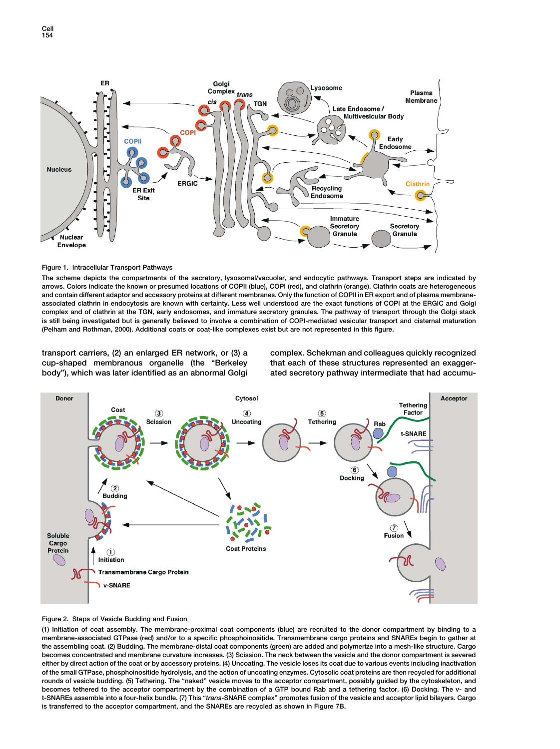

### **Figure 1. Intracellular Transport Pathways**

**The scheme depicts the compartments of the secretory, lysosomal/vacuolar, and endocytic pathways. Transport steps are indicated by arrows. Colors indicate the known or presumed locations of COPII (blue), COPI (red), and clathrin (orange). Clathrin coats are heterogeneous and contain different adaptor and accessory proteins at different membranes. Only the function of COPII in ER export and of plasma membraneassociated clathrin in endocytosis are known with certainty. Less well understood are the exact functions of COPI at the ERGIC and Golgi complex and of clathrin at the TGN, early endosomes, and immature secretory granules. The pathway of transport through the Golgi stack is still being investigated but is generally believed to involve a combination of COPI-mediated vesicular transport and cisternal maturation (Pelham and Rothman, 2000). Additional coats or coat-like complexes exist but are not represented in this figure.**

**cup-shaped membranous organelle (the "Berkeley that each of these structures represented an exagger-**

**transport carriers, (2) an enlarged ER network, or (3) a complex. Schekman and colleagues quickly recognized body"), which was later identified as an abnormal Golgi ated secretory pathway intermediate that had accumu-**



# **Figure 2. Steps of Vesicle Budding and Fusion**

**(1) Initiation of coat assembly. The membrane-proximal coat components (blue) are recruited to the donor compartment by binding to a membrane-associated GTPase (red) and/or to a specific phosphoinositide. Transmembrane cargo proteins and SNAREs begin to gather at the assembling coat. (2) Budding. The membrane-distal coat components (green) are added and polymerize into a mesh-like structure. Cargo becomes concentrated and membrane curvature increases. (3) Scission. The neck between the vesicle and the donor compartment is severed either by direct action of the coat or by accessory proteins. (4) Uncoating. The vesicle loses its coat due to various events including inactivation of the small GTPase, phosphoinositide hydrolysis, and the action of uncoating enzymes. Cytosolic coat proteins are then recycled for additional rounds of vesicle budding. (5) Tethering. The "naked" vesicle moves to the acceptor compartment, possibly guided by the cytoskeleton, and becomes tethered to the acceptor compartment by the combination of a GTP bound Rab and a tethering factor. (6) Docking. The v- and t-SNAREs assemble into a four-helix bundle. (7) This "***trans***-SNARE complex" promotes fusion of the vesicle and acceptor lipid bilayers. Cargo is transferred to the acceptor compartment, and the SNAREs are recycled as shown in Figure 7B.**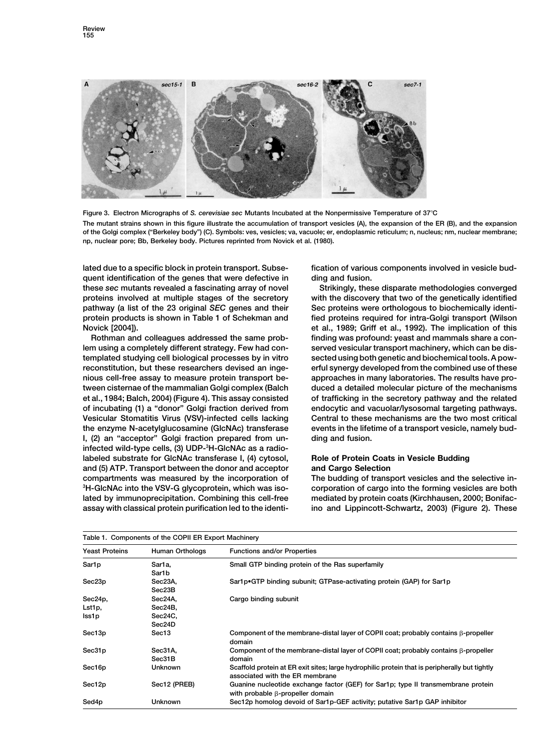

**Figure 3. Electron Micrographs of** *S. cerevisiae sec* **Mutants Incubated at the Nonpermissive Temperature of 37C**

**The mutant strains shown in this figure illustrate the accumulation of transport vesicles (A), the expansion of the ER (B), and the expansion of the Golgi complex ("Berkeley body") (C). Symbols: ves, vesicles; va, vacuole; er, endoplasmic reticulum; n, nucleus; nm, nuclear membrane; np, nuclear pore; Bb, Berkeley body. Pictures reprinted from Novick et al. (1980).**

**lated due to a specific block in protein transport. Subse- fication of various components involved in vesicle budquent identification of the genes that were defective in ding and fusion. these** *sec* **mutants revealed a fascinating array of novel Strikingly, these disparate methodologies converged proteins involved at multiple stages of the secretory with the discovery that two of the genetically identified pathway (a list of the 23 original** *SEC* **genes and their Sec proteins were orthologous to biochemically identiprotein products is shown in Table 1 of Schekman and fied proteins required for intra-Golgi transport (Wilson**

lem using a completely different strategy. Few had con-served vesicular transport machinery, which can be dis**templated studying cell biological processes by in vitro sected using both genetic and biochemical tools. A powreconstitution, but these researchers devised an inge- erful synergy developed from the combined use of these nious cell-free assay to measure protein transport be- approaches in many laboratories. The results have protween cisternae of the mammalian Golgi complex (Balch duced a detailed molecular picture of the mechanisms et al., 1984; Balch, 2004) (Figure 4). This assay consisted of trafficking in the secretory pathway and the related of incubating (1) a "donor" Golgi fraction derived from endocytic and vacuolar/lysosomal targeting pathways. Vesicular Stomatitis Virus (VSV)-infected cells lacking Central to these mechanisms are the two most critical the enzyme N-acetylglucosamine (GlcNAc) transferase events in the lifetime of a transport vesicle, namely bud-I, (2) an "acceptor" Golgi fraction prepared from un- ding and fusion. infected wild-type cells, (3) UDP-3 H-GlcNAc as a radiolabeled substrate for GlcNAc transferase I, (4) cytosol, Role of Protein Coats in Vesicle Budding and (5) ATP. Transport between the donor and acceptor and Cargo Selection compartments was measured by the incorporation of The budding of transport vesicles and the selective in-**<sup>3</sup>H-GlcNAc into the VSV-G glycoprotein, which was iso**lated by immunoprecipitation. Combining this cell-free mediated by protein coats (Kirchhausen, 2000; Bonifac-**

**Novick [2004]). et al., 1989; Griff et al., 1992). The implication of this Rothman and colleagues addressed the same prob- finding was profound: yeast and mammals share a con-**

**corporation of cargo into the forming vesicles are both <sup>3</sup> assay with classical protein purification led to the identi- ino and Lippincott-Schwartz, 2003) (Figure 2). These**

| Table 1. Components of the COPII ER Export Machinery |                                         |                                                                                                                                  |  |  |
|------------------------------------------------------|-----------------------------------------|----------------------------------------------------------------------------------------------------------------------------------|--|--|
| <b>Yeast Proteins</b>                                | Human Orthologs                         | <b>Functions and/or Properties</b>                                                                                               |  |  |
| Sar1p                                                | Sar1a,<br>Sar1b                         | Small GTP binding protein of the Ras superfamily                                                                                 |  |  |
| Sec23p                                               | Sec23A,<br>Sec23B                       | Sar1p•GTP binding subunit; GTPase-activating protein (GAP) for Sar1p                                                             |  |  |
| Sec24p,<br>Lst1p,<br>lss1p                           | Sec24A,<br>Sec24B,<br>Sec24C,<br>Sec24D | Cargo binding subunit                                                                                                            |  |  |
| Sec13p                                               | Sec13                                   | Component of the membrane-distal layer of COPII coat; probably contains $\beta$ -propeller<br>domain                             |  |  |
| Sec31p                                               | Sec31A,<br>Sec31B                       | Component of the membrane-distal layer of COPII coat; probably contains $\beta$ -propeller<br>domain                             |  |  |
| Sec16p                                               | <b>Unknown</b>                          | Scaffold protein at ER exit sites; large hydrophilic protein that is peripherally but tightly<br>associated with the ER membrane |  |  |
| Sec12p                                               | Sec12 (PREB)                            | Guanine nucleotide exchange factor (GEF) for Sar1p; type II transmembrane protein<br>with probable $\beta$ -propeller domain     |  |  |
| Sed4p                                                | <b>Unknown</b>                          | Sec12p homolog devoid of Sar1p-GEF activity; putative Sar1p GAP inhibitor                                                        |  |  |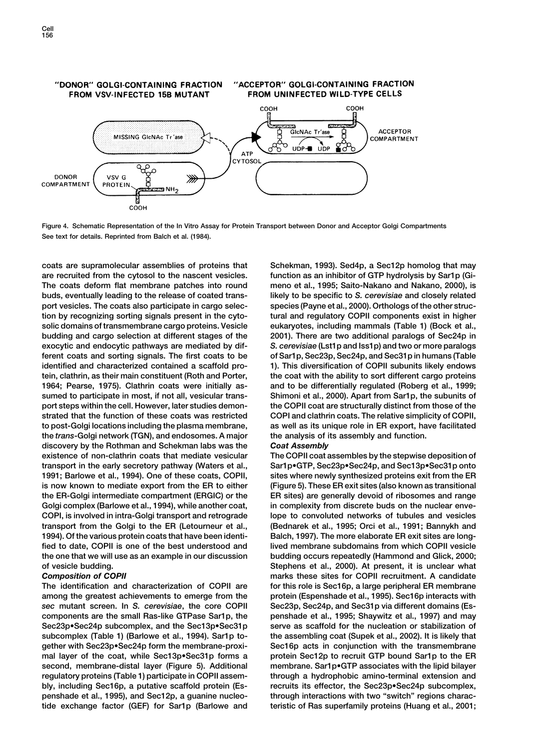

**Figure 4. Schematic Representation of the In Vitro Assay for Protein Transport between Donor and Acceptor Golgi Compartments See text for details. Reprinted from Balch et al. (1984).**

**coats are supramolecular assemblies of proteins that Schekman, 1993). Sed4p, a Sec12p homolog that may are recruited from the cytosol to the nascent vesicles. function as an inhibitor of GTP hydrolysis by Sar1p (Gi-The coats deform flat membrane patches into round meno et al., 1995; Saito-Nakano and Nakano, 2000), is buds, eventually leading to the release of coated trans- likely to be specific to** *S. cerevisiae* **and closely related port vesicles. The coats also participate in cargo selec- species (Payne et al., 2000). Orthologs of the other struction by recognizing sorting signals present in the cyto- tural and regulatory COPII components exist in higher solic domains of transmembrane cargo proteins. Vesicle eukaryotes, including mammals (Table 1) (Bock et al., budding and cargo selection at different stages of the 2001). There are two additional paralogs of Sec24p in exocytic and endocytic pathways are mediated by dif-** *S. cerevisiae* **(Lst1p and Iss1p) and two or more paralogs ferent coats and sorting signals. The first coats to be of Sar1p, Sec23p, Sec24p, and Sec31p in humans (Table identified and characterized contained a scaffold pro- 1). This diversification of COPII subunits likely endows tein, clathrin, as their main constituent (Roth and Porter, the coat with the ability to sort different cargo proteins 1964; Pearse, 1975). Clathrin coats were initially as- and to be differentially regulated (Roberg et al., 1999; sumed to participate in most, if not all, vesicular trans- Shimoni et al., 2000). Apart from Sar1p, the subunits of port steps within the cell. However, later studies demon- the COPII coat are structurally distinct from those of the strated that the function of these coats was restricted COPI and clathrin coats. The relative simplicity of COPII, to post-Golgi locations including the plasma membrane, as well as its unique role in ER export, have facilitated the** *trans***-Golgi network (TGN), and endosomes. A major the analysis of its assembly and function. discovery by the Rothman and Schekman labs was the** *Coat Assembly* **existence of non-clathrin coats that mediate vesicular The COPII coat assembles by the stepwise deposition of transport in the early secretory pathway (Waters et al., Sar1p•GTP, Sec23p•Sec24p, and Sec13p•Sec31p onto 1991; Barlowe et al., 1994). One of these coats, COPII, sites where newly synthesized proteins exit from the ER is now known to mediate export from the ER to either (Figure 5). These ER exit sites (also known as transitional the ER-Golgi intermediate compartment (ERGIC) or the ER sites) are generally devoid of ribosomes and range** Golgi complex (Barlowe et al., 1994), while another coat, in complexity from discrete buds on the nuclear enve-**COPI, is involved in intra-Golgi transport and retrograde lope to convoluted networks of tubules and vesicles transport from the Golgi to the ER (Letourneur et al., (Bednarek et al., 1995; Orci et al., 1991; Bannykh and 1994). Of the various protein coats that have been identi- Balch, 1997). The more elaborate ER exit sites are longfied to date, COPII is one of the best understood and lived membrane subdomains from which COPII vesicle the one that we will use as an example in our discussion budding occurs repeatedly (Hammond and Glick, 2000; of vesicle budding. Stephens et al., 2000). At present, it is unclear what**

**among the greatest achievements to emerge from the protein (Espenshade et al., 1995). Sec16p interacts with** sec mutant screen. In S. cerevisiae, the core COPII Sec23p, Sec24p, and Sec31p via different domains (Es**components are the small Ras-like GTPase Sar1p, the penshade et al., 1995; Shaywitz et al., 1997) and may** Sec23p•Sec24p subcomplex, and the Sec13p•Sec31p serve as scaffold for the nucleation or stabilization of **subcomplex (Table 1) (Barlowe et al., 1994). Sar1p to- the assembling coat (Supek et al., 2002). It is likely that gether with Sec23p•Sec24p form the membrane-proxi- Sec16p acts in conjunction with the transmembrane mal layer of the coat, while Sec13p•Sec31p forms a protein Sec12p to recruit GTP bound Sar1p to the ER second, membrane-distal layer (Figure 5). Additional membrane. Sar1p•GTP associates with the lipid bilayer regulatory proteins (Table 1) participate in COPII assem- through a hydrophobic amino-terminal extension and bly, including Sec16p, a putative scaffold protein (Es- recruits its effector, the Sec23p•Sec24p subcomplex, penshade et al., 1995), and Sec12p, a guanine nucleo- through interactions with two "switch" regions charactide exchange factor (GEF) for Sar1p (Barlowe and teristic of Ras superfamily proteins (Huang et al., 2001;**

**Composition of COPII marks these sites for COPII recruitment.** A candidate **The identification and characterization of COPII are for this role is Sec16p, a large peripheral ER membrane**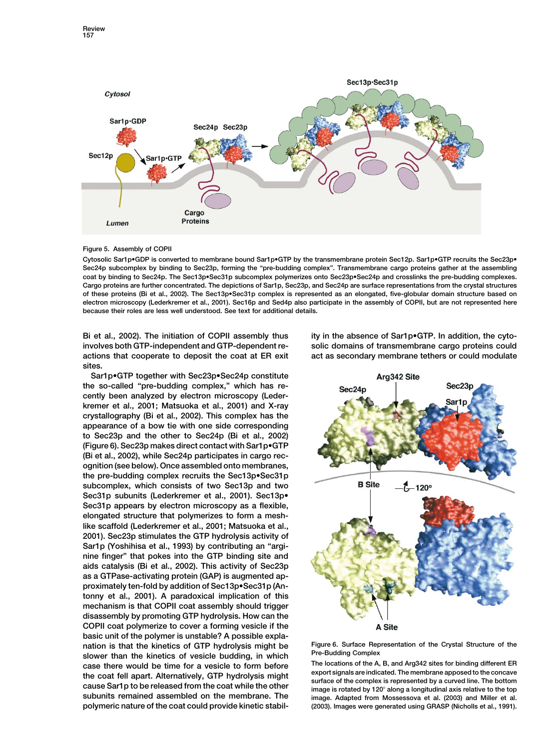

# **Figure 5. Assembly of COPII**

**Cytosolic Sar1p•GDP is converted to membrane bound Sar1p•GTP by the transmembrane protein Sec12p. Sar1p•GTP recruits the Sec23p• Sec24p subcomplex by binding to Sec23p, forming the "pre-budding complex". Transmembrane cargo proteins gather at the assembling coat by binding to Sec24p. The Sec13p•Sec31p subcomplex polymerizes onto Sec23p•Sec24p and crosslinks the pre-budding complexes. Cargo proteins are further concentrated. The depictions of Sar1p, Sec23p, and Sec24p are surface representations from the crystal structures of these proteins (Bi et al., 2002). The Sec13p•Sec31p complex is represented as an elongated, five-globular domain structure based on electron microscopy (Lederkremer et al., 2001). Sec16p and Sed4p also participate in the assembly of COPII, but are not represented here because their roles are less well understood. See text for additional details.**

**involves both GTP-independent and GTP-dependent re- solic domains of transmembrane cargo proteins could actions that cooperate to deposit the coat at ER exit act as secondary membrane tethers or could modulate sites.**

**Sar1p•GTP together with Sec23p•Sec24p constitute the so-called "pre-budding complex," which has recently been analyzed by electron microscopy (Lederkremer et al., 2001; Matsuoka et al., 2001) and X-ray crystallography (Bi et al., 2002). This complex has the appearance of a bow tie with one side corresponding to Sec23p and the other to Sec24p (Bi et al., 2002) (Figure 6). Sec23p makes direct contact with Sar1p•GTP (Bi et al., 2002), while Sec24p participates in cargo recognition (see below). Once assembled onto membranes, the pre-budding complex recruits the Sec13p•Sec31p subcomplex, which consists of two Sec13p and two Sec31p subunits (Lederkremer et al., 2001). Sec13p• Sec31p appears by electron microscopy as a flexible, elongated structure that polymerizes to form a meshlike scaffold (Lederkremer et al., 2001; Matsuoka et al., 2001). Sec23p stimulates the GTP hydrolysis activity of Sar1p (Yoshihisa et al., 1993) by contributing an "arginine finger" that pokes into the GTP binding site and aids catalysis (Bi et al., 2002). This activity of Sec23p as a GTPase-activating protein (GAP) is augmented approximately ten-fold by addition of Sec13p•Sec31p (Antonny et al., 2001). A paradoxical implication of this mechanism is that COPII coat assembly should trigger disassembly by promoting GTP hydrolysis. How can the COPII coat polymerize to cover a forming vesicle if the basic unit of the polymer is unstable? A possible explanation is that the kinetics of GTP hydrolysis might be Figure 6. Surface Representation of the Crystal Structure of the Pre-Budding Complex**<br>Case there would be time for a vesicle to form before The locations of the A, B, and Arg342 sites for binding different ER **The locations of the A, B, and Arg342 sites for binding different ER**<br>case there would be time for a vesicle to form before export signals are indicated. The membrane apposed to the concave the coat fell apart. Alternatively, GTP hydrolysis might<br>cause Sar1p to be released from the coat while the other<br>image is rotated by 120° along a longitudinal axis relative to the top

**Bi et al., 2002). The initiation of COPII assembly thus ity in the absence of Sar1p•GTP. In addition, the cyto-**



**subunits remained assembled on the membrane. The image. Adapted from Mossessova et al. (2003) and Miller et al. polymeric nature of the coat could provide kinetic stabil- (2003). Images were generated using GRASP (Nicholls et al., 1991).**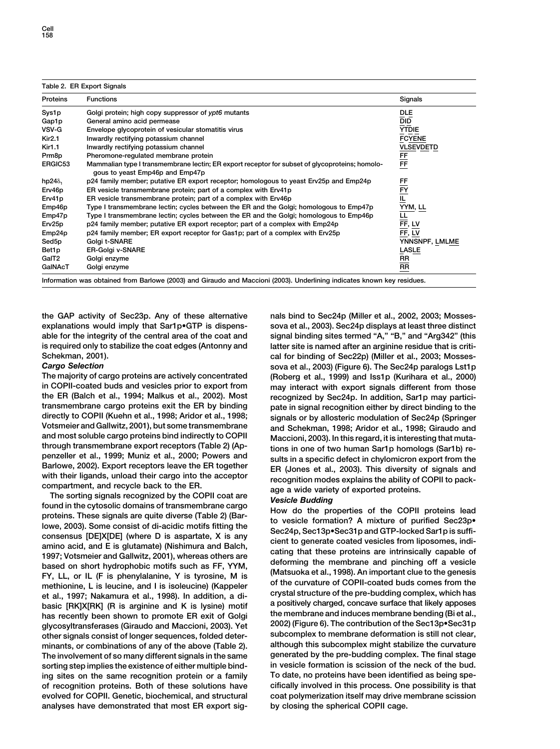| <b>Proteins</b>    | <b>Functions</b>                                                                                                                  | Signals          |
|--------------------|-----------------------------------------------------------------------------------------------------------------------------------|------------------|
| Sys1p              | Golgi protein; high copy suppressor of ypt6 mutants                                                                               | DLE              |
| Gap1p              | General amino acid permease                                                                                                       | <b>DID</b>       |
| VSV-G              | Envelope glycoprotein of vesicular stomatitis virus                                                                               | <b>YTDIE</b>     |
| <b>Kir2.1</b>      | Inwardly rectifying potassium channel                                                                                             | <b>FCYENE</b>    |
| <b>Kir1.1</b>      | Inwardly rectifying potassium channel                                                                                             | <b>VLSEVDETD</b> |
| Prm <sub>8p</sub>  | Pheromone-regulated membrane protein                                                                                              |                  |
| ERGIC53            | Mammalian type I transmembrane lectin; ER export receptor for subset of glycoproteins; homolo-<br>gous to yeast Emp46p and Emp47p | FF<br>FF         |
| hp24 $\delta_1$    | p24 family member; putative ER export receptor; homologous to yeast Erv25p and Emp24p                                             |                  |
| Erv46p             | ER vesicle transmembrane protein; part of a complex with Erv41p                                                                   |                  |
| Erv41p             | ER vesicle transmembrane protein; part of a complex with Erv46p                                                                   | FF<br>EY<br>IL   |
| Emp46p             | Type I transmembrane lectin; cycles between the ER and the Golgi; homologous to Emp47p                                            | YYM, LL          |
| Emp47p             | Type I transmembrane lectin; cycles between the ER and the Golgi; homologous to Emp46p                                            | 쁘                |
| Erv <sub>25p</sub> | p24 family member; putative ER export receptor; part of a complex with Emp24p                                                     | EF, LV           |
| Emp24p             | p24 family member; ER export receptor for Gas1p; part of a complex with Erv25p                                                    | FF, LV           |
| Sed5p              | Golgi t-SNARE                                                                                                                     | YNNSNPF, LMLME   |
| Bet1p              | <b>ER-Golgi v-SNARE</b>                                                                                                           | <b>LASLE</b>     |
| GaIT2              | Golgi enzyme                                                                                                                      | RR               |
| GalNAcT            | Golgi enzyme                                                                                                                      | RR               |

**explanations would imply that Sar1p•GTP is dispens- sova et al., 2003). Sec24p displays at least three distinct able for the integrity of the central area of the coat and signal binding sites termed "A," "B," and "Arg342" (this is required only to stabilize the coat edges (Antonny and latter site is named after an arginine residue that is criti-**

**in COPII-coated buds and vesicles prior to export from may interact with export signals different from those the ER (Balch et al., 1994; Malkus et al., 2002). Most recognized by Sec24p. In addition, Sar1p may particitransmembrane cargo proteins exit the ER by binding pate in signal recognition either by direct binding to the directly to COPII (Kuehn et al., 1998; Aridor et al., 1998; signals or by allosteric modulation of Sec24p (Springer Votsmeier and Gallwitz, 2001), but some transmembrane and Schekman, 1998; Aridor et al., 1998; Giraudo and**

and most soluble cargo proteins bind indirectly to COPII Maccioni, 2003). In this regard, it is interesting that muta-<br>through transmembrane export receptors (Table 2) (Ap-<br>penzeller et al., 1999; Muniz et al., 2000; Power **interpretally** FY, LL, or IL (F is phenylalanine, Y is tyrosine, M is<br>
methionine, L is leucine, and I is isoleucine) (Kappeler of the curvature of COPII-coated buds comes from the<br>
et al. 1997: Nakamura et al. 1998). In et al., 1997; Nakamura et al., 1998). In addition, a di-<br>basic [RK]X[RK] (R is arginine and K is lysine) motif a positively charged, concave surface that likely apposes<br>has recently been shown to promote ER exit of Golgi t **glycosyltransferases (Giraudo and Maccioni, 2003). Yet 2002) (Figure 6). The contribution of the Sec13p•Sec31p other signals consist of longer sequences, folded deter- subcomplex to membrane deformation is still not clear, minants, or combinations of any of the above (Table 2). although this subcomplex might stabilize the curvature The involvement of so many different signals in the same sorting step implies the existence of either multiple bind- in vesicle formation is scission of the neck of the bud. ing sites on the same recognition protein or a family To date, no proteins have been identified as being speof recognition proteins. Both of these solutions have cifically involved in this process. One possibility is that evolved for COPII. Genetic, biochemical, and structural coat polymerization itself may drive membrane scission analyses have demonstrated that most ER export sig- by closing the spherical COPII cage.**

**the GAP activity of Sec23p. Any of these alternative nals bind to Sec24p (Miller et al., 2002, 2003; Mosses-Schekman, 2001). cal for binding of Sec22p) (Miller et al., 2003; Mosses-***Cargo Selection* **sova et al., 2003) (Figure 6). The Sec24p paralogs Lst1p The majority of cargo proteins are actively concentrated (Roberg et al., 1999) and Iss1p (Kurihara et al., 2000)**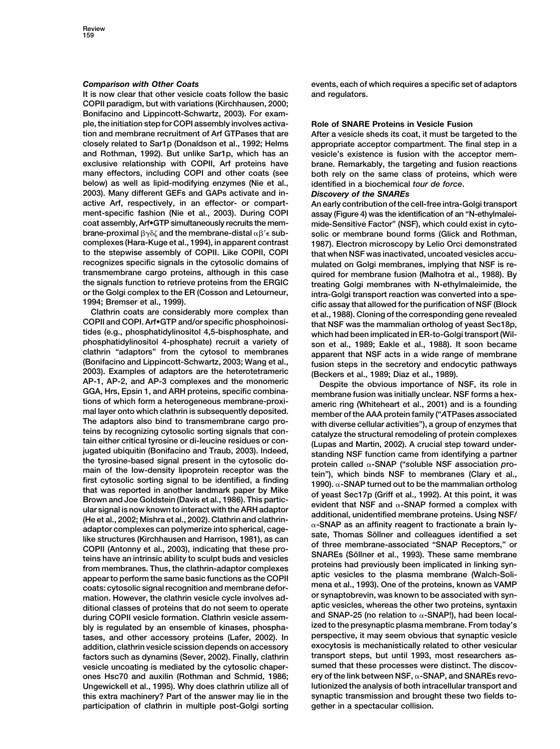**It is now clear that other vesicle coats follow the basic and regulators. COPII paradigm, but with variations (Kirchhausen, 2000; Bonifacino and Lippincott-Schwartz, 2003). For example, the initiation step for COPI assembly involves activa- Role of SNARE Proteins in Vesicle Fusion tion and membrane recruitment of Arf GTPases that are After a vesicle sheds its coat, it must be targeted to the closely related to Sar1p (Donaldson et al., 1992; Helms appropriate acceptor compartment. The final step in a and Rothman, 1992). But unlike Sar1p, which has an vesicle's existence is fusion with the acceptor memexclusive relationship with COPII, Arf proteins have brane. Remarkably, the targeting and fusion reactions many effectors, including COPI and other coats (see both rely on the same class of proteins, which were below) as well as lipid-modifying enzymes (Nie et al., identified in a biochemical** *tour de force***. 2003). Many different GEFs and GAPs activate and in-** *Discovery of the SNAREs* **active Arf, respectively, in an effector- or compart- An early contribution of the cell-free intra-Golgi transport ment-specific fashion (Nie et al., 2003). During COPI assay (Figure 4) was the identification of an "N-ethylmaleicoat assembly, Arf•GTP simultaneously recruits the mem- mide-Sensitive Factor" (NSF), which could exist in cyto-** $\bm{b}$ rane-proximal  $\bm{\beta} \gamma \delta \zeta$  and the membrane-distal  $\alpha \bm{\beta}$ **complexes (Hara-Kuge et al., 1994), in apparent contrast 1987). Electron microscopy by Lelio Orci demonstrated to the stepwise assembly of COPII. Like COPII, COPI that when NSF was inactivated, uncoated vesicles accutransmembrane cargo proteins, although in this case quired for membrane fusion (Malhotra et al., 1988). By the signals function to retrieve proteins from the ERGIC treating Golgi membranes with N-ethylmaleimide, the or the Golgi complex to the ER (Cosson and Letourneur, intra-Golgi transport reaction was converted into a spe-**

**Clathrin coats are considerably more complex than et al., 1988). Cloning of the corresponding gene revealed COPII and COPI. Arf•GTP and/or specific phosphoinosi- that NSF was the mammalian ortholog of yeast Sec18p,** tides (e.g., phosphatidylinositol 4,5-bisphosphate, and<br>phosphatidylinositol 4-phosphate) recruit a variety of son et al., 1989; Eakle et al., 1988). It soon became<br>clathrin "adaptors" from the cytosol to membranes apparen clathrin "adaptors" from the cytosol to membranes<br>
(Bonifacino and Lippincott-Schwartz, 2003; Wang et al.,<br>
2003). Examples of adaptors are the heterotetrameric<br>
AP-1, AP-2, and AP-3 complexes and the monomeric<br>
GGA, Hrs, The adaptors also bind to transmembrane cargo pro-<br>teins by recognizing cytosolic sorting signals that con-<br>tain either critical tyrosine or di-leucine residues or con-<br>jugated ubiquitin (Bonifacino and Traub, 2003). Inde main of the low-density lipoprotein receptor was the<br>first cytosolic sorting signal to be identified, a finding<br>that was reported in another landmark paper by Mike<br>that was reported in another landmark paper by Mike<br>Brown coats: cytosolic signal recognition and membrane defor-<br>mation. However, the clathrin vesicle cycle involves ad-<br>ditional classes of proteins that do not seem to operate aptic vesicles, whereas the other two proteins, synt ditional classes of proteins that do not seem to operate<br>during COPII vesicle formation. Clathrin vesicle assem-<br>https://editorial/SNAP-25 (no relation to  $\alpha$ -SNAP!), had been local-<br>https://editorial/stategynaptic plasm **bly is regulated by an ensemble of kinases, phospha- ized to the presynaptic plasma membrane. From today's** tases, and other accessory proteins (Lafer, 2002). In **addition, clathrin vesicle scission depends on accessory exocytosis is mechanistically related to other vesicular factors such as dynamins (Sever, 2002). Finally, clathrin transport steps, but until 1993, most researchers as**vesicle uncoating is mediated by the cytosolic chaper**ones Hsc70 and auxilin (Rothman and Schmid, 1986; ery of the link between NSF, -SNAP, and SNAREs revo-Ungewickell et al., 1995). Why does clathrin utilize all of lutionized the analysis of both intracellular transport and this extra machinery? Part of the answer may lie in the synaptic transmission and brought these two fields toparticipation of clathrin in multiple post-Golgi sorting gether in a spectacular collision.**

**Comparison with Other Coats events, each of which requires a specific set of adaptors** 

 **sub- solic or membrane bound forms (Glick and Rothman,** mulated on Golgi membranes, implying that NSF is re-**1994; Bremser et al., 1999). cific assay that allowed for the purification of NSF (Block**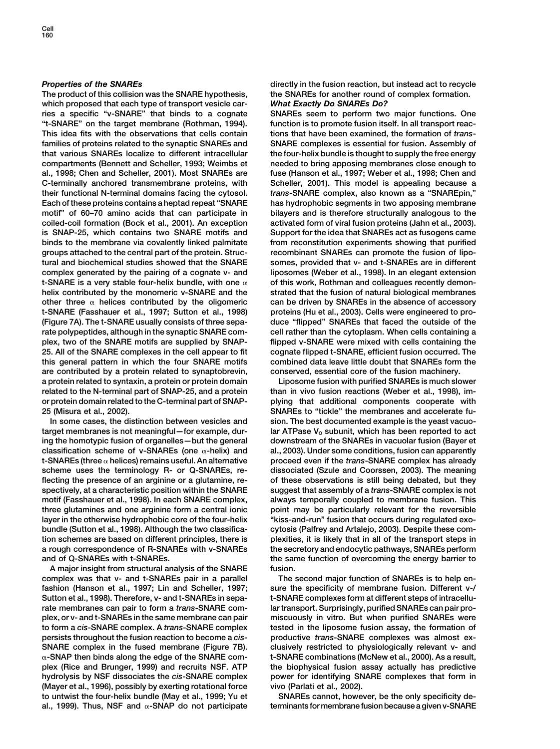**The product of this collision was the SNARE hypothesis, the SNAREs for another round of complex formation. which proposed that each type of transport vesicle car-** *What Exactly Do SNAREs Do?* **ries a specific "v-SNARE" that binds to a cognate SNAREs seem to perform two major functions. One "t-SNARE" on the target membrane (Rothman, 1994). function is to promote fusion itself. In all transport reac-This idea fits with the observations that cells contain tions that have been examined, the formation of** *trans***families of proteins related to the synaptic SNAREs and SNARE complexes is essential for fusion. Assembly of that various SNAREs localize to different intracellular the four-helix bundle is thought to supply the free energy compartments (Bennett and Scheller, 1993; Weimbs et needed to bring apposing membranes close enough to al., 1998; Chen and Scheller, 2001). Most SNAREs are fuse (Hanson et al., 1997; Weber et al., 1998; Chen and C-terminally anchored transmembrane proteins, with Scheller, 2001). This model is appealing because a their functional N-terminal domains facing the cytosol.** *trans***-SNARE complex, also known as a "SNAREpin," Each of these proteins contains a heptad repeat "SNARE has hydrophobic segments in two apposing membrane motif" of 60–70 amino acids that can participate in bilayers and is therefore structurally analogous to the coiled-coil formation (Bock et al., 2001). An exception activated form of viral fusion proteins (Jahn et al., 2003). is SNAP-25, which contains two SNARE motifs and Support for the idea that SNAREs act as fusogens came binds to the membrane via covalently linked palmitate from reconstitution experiments showing that purified groups attached to the central part of the protein. Struc- recombinant SNAREs can promote the fusion of lipo**tural and biochemical studies showed that the SNARE somes, provided that v- and t-SNAREs are in different complex generated by the pairing of a cognate v- and liposomes (Weber et al., 1998). In an elegant extension **t-SNARE is a very stable four-helix bundle, with one of this work, Rothman and colleagues recently demonhelix contributed by the monomeric v-SNARE and the strated that the fusion of natural biological membranes** other three  $\alpha$  helices contributed by the oligomeric can be driven by SNAREs in the absence of accessory **t-SNARE (Fasshauer et al., 1997; Sutton et al., 1998) proteins (Hu et al., 2003). Cells were engineered to pro- (Figure 7A). The t-SNARE usually consists of three sepa- duce "flipped" SNAREs that faced the outside of the rate polypeptides, although in the synaptic SNARE com- cell rather than the cytoplasm. When cells containing a plex, two of the SNARE motifs are supplied by SNAP- flipped v-SNARE were mixed with cells containing the 25. All of the SNARE complexes in the cell appear to fit cognate flipped t-SNARE, efficient fusion occurred. The this general pattern in which the four SNARE motifs combined data leave little doubt that SNAREs form the are contributed by a protein related to synaptobrevin, conserved, essential core of the fusion machinery. a protein related to syntaxin, a protein or protein domain Liposome fusion with purified SNAREs is much slower related to the N-terminal part of SNAP-25, and a protein than in vivo fusion reactions (Weber et al., 1998), imor protein domain related to the C-terminal part of SNAP- plying that additional components cooperate with 25 (Misura et al., 2002). SNAREs to "tickle" the membranes and accelerate fu-**

target membranes is not meaningful—for example, dur-<br>
lar ATPase V<sub>o</sub> subunit, which has been reported to act ing the homotypic fusion of organelles - but the general downstream of the SNAREs in vacuolar fusion (Bayer et **classification scheme of v-SNAREs (one -helix) and al., 2003). Under some conditions, fusion can apparently t-SNAREs (three helices) remains useful. An alternative proceed even if the** *trans***-SNARE complex has already scheme uses the terminology R- or Q-SNAREs, re- dissociated (Szule and Coorssen, 2003). The meaning flecting the presence of an arginine or a glutamine, re- of these observations is still being debated, but they spectively, at a characteristic position within the SNARE suggest that assembly of a** *trans***-SNARE complex is not motif (Fasshauer et al., 1998). In each SNARE complex, always temporally coupled to membrane fusion. This three glutamines and one arginine form a central ionic point may be particularly relevant for the reversible** layer in the otherwise hydrophobic core of the four-helix "kiss-and-run" fusion that occurs during regulated exo**bundle (Sutton et al., 1998). Although the two classifica- cytosis (Palfrey and Artalejo, 2003). Despite these comtion schemes are based on different principles, there is plexities, it is likely that in all of the transport steps in a rough correspondence of R-SNAREs with v-SNAREs the secretory and endocytic pathways, SNAREs perform and of Q-SNAREs with t-SNAREs. the same function of overcoming the energy barrier to**

**A major insight from structural analysis of the SNARE fusion. complex was that v- and t-SNAREs pair in a parallel The second major function of SNAREs is to help enfashion (Hanson et al., 1997; Lin and Scheller, 1997; sure the specificity of membrane fusion. Different v-/ Sutton et al., 1998). Therefore, v- and t-SNAREs in sepa- t-SNARE complexes form at different steps of intracellurate membranes can pair to form a** *trans***-SNARE com- lar transport. Surprisingly, purified SNAREs can pair proplex, or v- and t-SNAREs in the same membrane can pair miscuously in vitro. But when purified SNAREs were to form a** *cis***-SNARE complex. A** *trans***-SNARE complex tested in the liposome fusion assay, the formation of persists throughout the fusion reaction to become a** *cis***- productive** *trans***-SNARE complexes was almost ex-SNARE complex in the fused membrane (Figure 7B). clusively restricted to physiologically relevant v- and -SNAP then binds along the edge of the SNARE com- t-SNARE combinations (McNew et al., 2000). As a result, plex (Rice and Brunger, 1999) and recruits NSF. ATP the biophysical fusion assay actually has predictive hydrolysis by NSF dissociates the** *cis***-SNARE complex power for identifying SNARE complexes that form in (Mayer et al., 1996), possibly by exerting rotational force vivo (Parlati et al., 2002). to untwist the four-helix bundle (May et al., 1999; Yu et SNAREs cannot, however, be the only specificity deal., 1999). Thus, NSF and -SNAP do not participate terminants for membrane fusion because a given v-SNARE**

**Properties of the SNAREs directly in the fusion reaction, but instead act to recycle** 

liposomes (Weber et al., 1998). In an elegant extension

**In some cases, the distinction between vesicles and sion. The best documented example is the yeast vacuo-**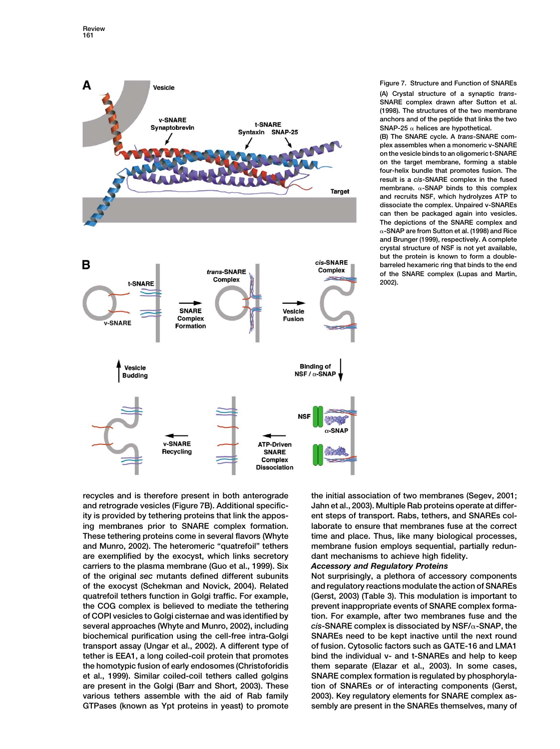

**Figure 7. Structure and Function of SNAREs (A) Crystal structure of a synaptic** *trans***-SNARE complex drawn after Sutton et al. (1998). The structures of the two membrane anchors and of the peptide that links the two**

**SNAP-25 helices are hypothetical. (B) The SNARE cycle. A** *trans***-SNARE complex assembles when a monomeric v-SNARE on the vesicle binds to an oligomeric t-SNARE on the target membrane, forming a stable four-helix bundle that promotes fusion. The result is a** *cis***-SNARE complex in the fused membrane. -SNAP binds to this complex and recruits NSF, which hydrolyzes ATP to dissociate the complex. Unpaired v-SNAREs can then be packaged again into vesicles. The depictions of the SNARE complex and -SNAP are from Sutton et al. (1998) and Rice and Brunger (1999), respectively. A complete crystal structure of NSF is not yet available, but the protein is known to form a doublebarreled hexameric ring that binds to the end of the SNARE complex (Lupas and Martin, 2002).**

**recycles and is therefore present in both anterograde the initial association of two membranes (Segev, 2001; and retrograde vesicles (Figure 7B). Additional specific- Jahn et al., 2003). Multiple Rab proteins operate at differity is provided by tethering proteins that link the appos- ent steps of transport. Rabs, tethers, and SNAREs coling membranes prior to SNARE complex formation. laborate to ensure that membranes fuse at the correct These tethering proteins come in several flavors (Whyte time and place. Thus, like many biological processes, and Munro, 2002). The heteromeric "quatrefoil" tethers membrane fusion employs sequential, partially redunare exemplified by the exocyst, which links secretory dant mechanisms to achieve high fidelity. carriers to the plasma membrane (Guo et al., 1999). Six** *Accessory and Regulatory Proteins* **of the original** *sec* **mutants defined different subunits Not surprisingly, a plethora of accessory components of the exocyst (Schekman and Novick, 2004). Related and regulatory reactions modulate the action of SNAREs quatrefoil tethers function in Golgi traffic. For example, (Gerst, 2003) (Table 3). This modulation is important to the COG complex is believed to mediate the tethering prevent inappropriate events of SNARE complex formaof COPI vesicles to Golgi cisternae and was identified by tion. For example, after two membranes fuse and the several approaches (Whyte and Munro, 2002), including** *cis***-SNARE complex is dissociated by NSF/-SNAP, the biochemical purification using the cell-free intra-Golgi SNAREs need to be kept inactive until the next round transport assay (Ungar et al., 2002). A different type of of fusion. Cytosolic factors such as GATE-16 and LMA1 tether is EEA1, a long coiled-coil protein that promotes bind the individual v- and t-SNAREs and help to keep the homotypic fusion of early endosomes (Christoforidis them separate (Elazar et al., 2003). In some cases, et al., 1999). Similar coiled-coil tethers called golgins SNARE complex formation is regulated by phosphorylaare present in the Golgi (Barr and Short, 2003). These tion of SNAREs or of interacting components (Gerst, various tethers assemble with the aid of Rab family 2003). Key regulatory elements for SNARE complex as-**

**GTPases (known as Ypt proteins in yeast) to promote sembly are present in the SNAREs themselves, many of**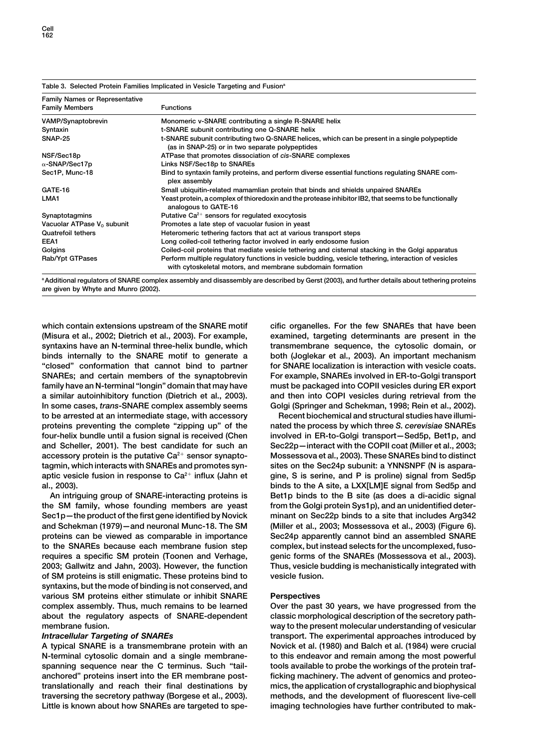| <b>Family Names or Representative</b>  |                                                                                                                                                                    |  |
|----------------------------------------|--------------------------------------------------------------------------------------------------------------------------------------------------------------------|--|
| <b>Family Members</b>                  | <b>Functions</b>                                                                                                                                                   |  |
| VAMP/Synaptobrevin                     | Monomeric v-SNARE contributing a single R-SNARE helix                                                                                                              |  |
| Syntaxin                               | t-SNARE subunit contributing one Q-SNARE helix                                                                                                                     |  |
| <b>SNAP-25</b>                         | t-SNARE subunit contributing two Q-SNARE helices, which can be present in a single polypeptide<br>(as in SNAP-25) or in two separate polypeptides                  |  |
| NSF/Sec18p                             | ATPase that promotes dissociation of cis-SNARE complexes                                                                                                           |  |
| $\alpha$ -SNAP/Sec17p                  | Links NSF/Sec18p to SNAREs                                                                                                                                         |  |
| Sec1P, Munc-18                         | Bind to syntaxin family proteins, and perform diverse essential functions regulating SNARE com-<br>plex assembly                                                   |  |
| GATE-16                                | Small ubiquitin-related mamamlian protein that binds and shields unpaired SNAREs                                                                                   |  |
| LMA1                                   | Yeast protein, a complex of thioredoxin and the protease inhibitor IB2, that seems to be functionally<br>analogous to GATE-16                                      |  |
| Synaptotagmins                         | Putative $Ca^{2+}$ sensors for regulated exocytosis                                                                                                                |  |
| Vacuolar ATPase V <sub>o</sub> subunit | Promotes a late step of vacuolar fusion in yeast                                                                                                                   |  |
| <b>Quatrefoil tethers</b>              | Heteromeric tethering factors that act at various transport steps                                                                                                  |  |
| EEA1                                   | Long coiled-coil tethering factor involved in early endosome fusion                                                                                                |  |
| Golgins                                | Coiled-coil proteins that mediate vesicle tethering and cisternal stacking in the Golgi apparatus                                                                  |  |
| Rab/Ypt GTPases                        | Perform multiple regulatory functions in vesicle budding, vesicle tethering, interaction of vesicles<br>with cytoskeletal motors, and membrane subdomain formation |  |

## **Table 3. Selected Protein Families Implicated in Vesicle Targeting and Fusiona**

a Additional regulators of SNARE complex assembly and disassembly are described by Gerst (2003), and further details about tethering proteins **are given by Whyte and Munro (2002).**

**(Misura et al., 2002; Dietrich et al., 2003). For example, examined, targeting determinants are present in the syntaxins have an N-terminal three-helix bundle, which transmembrane sequence, the cytosolic domain, or binds internally to the SNARE motif to generate a both (Joglekar et al., 2003). An important mechanism "closed" conformation that cannot bind to partner for SNARE localization is interaction with vesicle coats. SNAREs; and certain members of the synaptobrevin For example, SNAREs involved in ER-to-Golgi transport family have an N-terminal "longin" domain that may have must be packaged into COPII vesicles during ER export a similar autoinhibitory function (Dietrich et al., 2003). and then into COPI vesicles during retrieval from the In some cases,** *trans***-SNARE complex assembly seems Golgi (Springer and Schekman, 1998; Rein et al., 2002). to be arrested at an intermediate stage, with accessory Recent biochemical and structural studies have illumiproteins preventing the complete "zipping up" of the nated the process by which three** *S. cerevisiae* **SNAREs four-helix bundle until a fusion signal is received (Chen involved in ER-to-Golgi transport—Sed5p, Bet1p, and and Scheller, 2001). The best candidate for such an Sec22p—interact with the COPII coat (Miller et al., 2003;** accessory protein is the putative Ca<sup>2+</sup> sensor synapto-<br>
Mossessova et al., 2003). These SNAREs bind to distinct **tagmin, which interacts with SNAREs and promotes syn- sites on the Sec24p subunit: a YNNSNPF (N is aspara**aptic vesicle fusion in response to Ca<sup>2+</sup> influx (Jahn et gine, S is serine, and P is proline) signal from Sed5p

**the SM family, whose founding members are yeast from the Golgi protein Sys1p), and an unidentified deter-Sec1p—the product of the first gene identified by Novick minant on Sec22p binds to a site that includes Arg342 and Schekman (1979)—and neuronal Munc-18. The SM (Miller et al., 2003; Mossessova et al., 2003) (Figure 6). proteins can be viewed as comparable in importance Sec24p apparently cannot bind an assembled SNARE to the SNAREs because each membrane fusion step complex, but instead selects for the uncomplexed, fusorequires a specific SM protein (Toonen and Verhage, genic forms of the SNAREs (Mossessova et al., 2003). 2003; Gallwitz and Jahn, 2003). However, the function Thus, vesicle budding is mechanistically integrated with of SM proteins is still enigmatic. These proteins bind to vesicle fusion. syntaxins, but the mode of binding is not conserved, and various SM proteins either stimulate or inhibit SNARE Perspectives complex assembly. Thus, much remains to be learned Over the past 30 years, we have progressed from the** about the regulatory aspects of SNARE-dependent classic morphological description of the secretory path**membrane fusion. way to the present molecular understanding of vesicular**

**N-terminal cytosolic domain and a single membrane- to this endeavor and remain among the most powerful spanning sequence near the C terminus. Such "tail- tools available to probe the workings of the protein trafanchored" proteins insert into the ER membrane post- ficking machinery. The advent of genomics and proteotranslationally and reach their final destinations by mics, the application of crystallographic and biophysical traversing the secretory pathway (Borgese et al., 2003). methods, and the development of fluorescent live-cell Little is known about how SNAREs are targeted to spe- imaging technologies have further contributed to mak-**

which contain extensions upstream of the SNARE motif cific organelles. For the few SNAREs that have been

**al., 2003). binds to the A site, a LXX[LM]E signal from Sed5p and An intriguing group of SNARE-interacting proteins is Bet1p binds to the B site (as does a di-acidic signal**

*Intracellular Targeting of SNAREs* **transport. The experimental approaches introduced by A typical SNARE is a transmembrane protein with an Novick et al. (1980) and Balch et al. (1984) were crucial**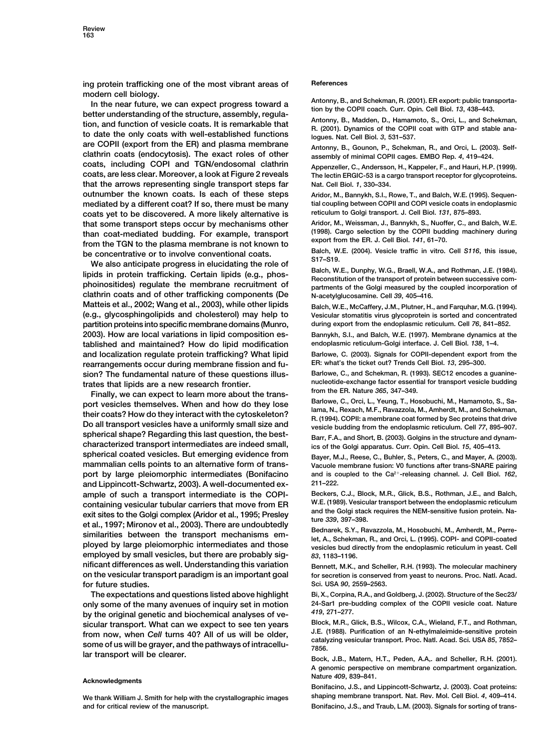**ing protein trafficking one of the most vibrant areas of References**

modern cell biology.<br>
In the near future, we can expect progress toward a<br>
better understanding of the structure, assembly, regula-<br>
better understanding of the structure, assembly, regula-<br>
tion, and function of vesicle c are COPII (export from the ER) and plasma membrane<br>Antonny, B., Gounon, P., Schekman, R., and Orci, L. (2003). Self**clathrin coats (endocytosis). The exact roles of other assembly of minimal COPII cages. EMBO Rep.** *<sup>4</sup>***, 419–424. coats, including COPI and TGN/endosomal clathrin Appenzeller, C., Andersson, H., Kappeler, F., and Hauri, H.P. (1999). that the arrows representing single transport steps far Nat. Cell Biol.** *1***, 330–334. outnumber the known coats. Is each of these steps Aridor, M., Bannykh, S.I., Rowe, T., and Balch, W.E. (1995). Sequen**mediated by a different coat? If so, there must be many tial coupling between COPII and COPI vesicle coats in endoplasmic<br>
coats vet to be discovered A more likely alternative is reticulum to Golgi transport. J. Cell Biol. **reticulum to Golgi transport. J. Cell Biol.** *131***, 875–893. coats yet to be discovered. A more likely alternative is Aridor, M., Weissman, J., Bannykh, S., Nuoffer, C., and Balch, W.E. that some transport steps occur by mechanisms other**

than coat-mediated budding. For example, transport (1998). Cargo selection by the COPII budding machinery during<br>from the TGN to the plasma membrane is not known to<br>be concentrative or to involve conventional coats.<br>We als **clathrin coats and of other trafficking components (De N-acetylglucosamine. Cell 39, 405–416.**<br>Matteis et al., 2002; Wang et al., 2003), while other lipids Balch W.E. McCaffery J.M. Plutner H. **(e.g., glycosphingolipids and cholesterol) may help to Vesicular stomatitis virus glycoprotein is sorted and concentrated partition proteins into specific membrane domains (Munro, during export from the endoplasmic reticulum. Cell** *76***, 841–852. 2003). How are local variations in lipid composition es- Bannykh, S.I., and Balch, W.E. (1997). Membrane dynamics at the endoplasmic reticulum-Golgi interface. J. Cell Biol.** *138***, 1–4. tablished and maintained? How do lipid modification and localization regulate protein trafficking? What lipid Barlowe, C. (2003). Signals for COPII-dependent export from the** rearrangements occur during membrane fission and fu-<br>sion? The fundamental nature of these questions illus-<br>Barlowe, C., and Schekman, R. (1993). SEC12 encodes a guanine**sion? The fundamental nature of these questions illus- Barlowe, C., and Schekman, R. (1993). SEC12 encodes a guanine-**

trates that lipids are a new research frontier.<br>
Finally, we can expect to learn more about the trans-<br>
nort vesicles themselves When and how do they lose Barlowe, C., Orci, L., Yeung, T., Hosobuchi, M., Hamamoto, S., Saport vesicles themselves. When and how do they lose<br>their coats? How do they interact with the cytoskeleton?<br>Do all transport vesicles have a uniformly small size and<br>spherical shape? Regarding this last question, the best spherical shape? Regarding this last question, the best-<br> **Barr, F.A., and Short, B.** (2003). Golgins in the structure and dynam-<br>
characterized transport intermediates are indeed small, in the Golgi apparatus Curr, Opin C **spherical coated vesicles. But emerging evidence from Bayer, M.J., Reese, C., Buhler, S., Peters, C., and Mayer, A. (2003). and is coupled to the Ca2 port by large pleiomorphic intermediates (Bonifacino -releasing channel. J. Cell Biol.** *162***, and Lippincott-Schwartz, 2003). A well-documented ex- 211–222. ample of such a transport intermediate is the COPI- Beckers, C.J., Block, M.R., Glick, B.S., Rothman, J.E., and Balch, containing vesicular tubular carriers that move from ER W.E. (1989). Vesicular transport between the endoplasmic reticulum** exit sites to the Golgi complex (Aridor et al., 1995; Presley<br>et al., 1997; Mironov et al., 2003). There are undoubtedly<br>similarities between the transport mechanisms em-<br>ployed by large pleiomorphic intermediates and thos **employed by small vesicles, but there are probably sig-** *83***, 1183–1196. nificant differences as well. Understanding this variation Bennett, M.K., and Scheller, R.H. (1993). The molecular machinery on the vesicular transport paradigm is an important goal for secretion is conserved from yeast to neurons. Proc. Natl. Acad. for future studies. Sci. USA** *90***, 2559–2563.**

**only some of the many avenues of inquiry set in motion** 24-Sar1 pre-but the criginal genetic code biochemical angless of the COPII 419, 271-277. **by the original genetic and biochemical analyses of ve-**  $419, 271–277$ .<br> **Block, M.R., Glick, B.S., Wilcox, C.A., Wieland, F.T., and Rothman,**<br> **Block, M.R., Glick, B.S., Wilcox, C.A., Wieland, F.T., and Rothman,** sicular transport. What can we expect to see ten years<br>from now, when Cell turns 40? All of us will be older,<br>some of us will be grayer, and the pathways of intracellu-<br>lar transport will be clearer.<br>lar transport will be

**and for critical review of the manuscript. Bonifacino, J.S., and Traub, L.M. (2003). Signals for sorting of trans-**

The lectin ERGIC-53 is a cargo transport receptor for glycoproteins.

Balch, W.E., McCaffery, J.M., Plutner, H., and Farquhar, M.G. (1994).

**characterized transport intermediates are indeed small, ics of the Golgi apparatus. Curr. Opin. Cell Biol.** *15***, 405–413.**

Vacuole membrane fusion: V0 functions after trans-SNARE pairing

**The expectations and questions listed above highlight Bi, X., Corpina, R.A., and Goldberg, J. (2002). Structure of the Sec23/**

Bock, J.B., Matern, H.T., Peden, A.A,. and Scheller, R.H. (2001). **A genomic perspective on membrane compartment organization. Nature** *<sup>409</sup>***, 839–841. Acknowledgments**

**Bonifacino, J.S., and Lippincott-Schwartz, J. (2003). Coat proteins: We thank William J. Smith for help with the crystallographic images shaping membrane transport. Nat. Rev. Mol. Cell Biol.** *4***, 409–414.**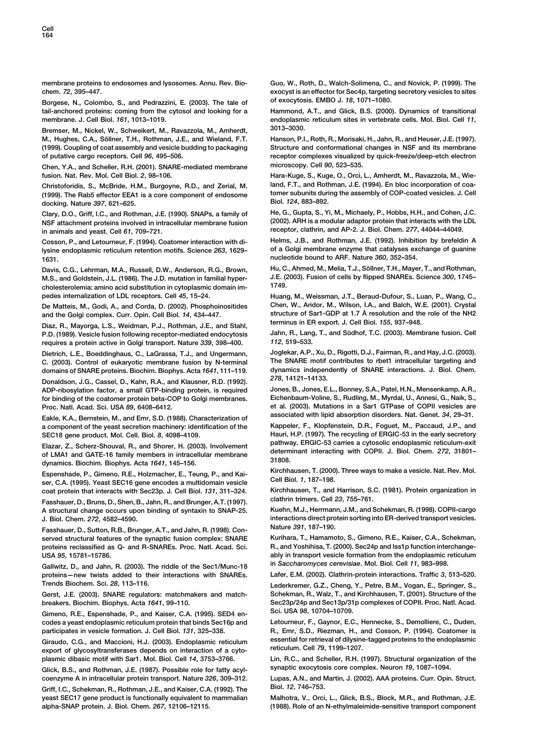**Cell 164**

**Borgese, N., Colombo, S., and Pedrazzini, E. (2003). The tale of of exocytosis. EMBO J.** *18***, 1071–1080.**  $tail$ -anchored proteins: coming from the cytosol and looking for a **membrane. J. Cell Biol.** *161***, 1013–1019. endoplasmic reticulum sites in vertebrate cells. Mol. Biol. Cell** *11***,**

**Bremser, M., Nickel, W., Schweikert, M., Ravazzola, M., Amherdt, 3013–3030.** M., Hughes, C.A., Söllner, T.H., Rothman, J.E., and Wieland, F.T. Hanson, P.I., Roth, R., Morisaki, H., Jahn, R., and Heuser, J.E. (1997).<br>(1999). Coupling of coat assembly and vesicle budding to packaging Structure and co

**Chen, Y.A., and Scheller, R.H. (2001). SNARE-mediated membrane microscopy. Cell** *90***, 523–535. fusion. Nat. Rev. Mol. Cell Biol.** *2***, 98–106. Hara-Kuge, S., Kuge, O., Orci, L., Amherdt, M., Ravazzola, M., Wie-**

**tomer subunits during the assembly of COP-coated vesicles. J. Cell (1999). The Rab5 effector EEA1 is a core component of endosome docking. Nature Biol.** *124***, 883–892.** *397***, 621–625.**

**NSF attachment proteins involved in intracellular membrane fusion (2002). ARH is a modular adaptor protein that interacts with the LDL receptor, clathrin, and AP-2. J. Biol. Chem.** *277***, 44044–44049. in animals and yeast. Cell** *61***, 709–721.**

**lysine endoplasmic reticulum retention motifs. Science 263, 1629-1631. nucleotide bound to ARF. Nature** *360***, 352–354.**

**M.S., and Goldstein, J.L. (1986). The J.D. mutation in familial hyper- J.E. (2003). Fusion of cells by flipped SNAREs. Science** *300***, 1745– cholesterolemia: amino acid substitution in cytoplasmic domain im- 1749.**

Diaz, R., Mayorga, L.S., Weidman, P.J., Rothman, J.E., and Stahl, **P.D. (1989). Vesicle fusion following receptor-mediated endocytosis** Jahn, R., Lang, T., and Südhof, T.C. (2003). Membrane fusion. Cell<br>requires a protein active in Golgi transport, Nature 339, 398–400, 112, 519–533. *112***, 519–533. requires a protein active in Golgi transport. Nature** *339***, 398–400.**

**C. (2003). Control of eukaryotic membrane fusion by N-terminal The SNARE motif contributes to rbet1 intracellular targeting and domains of SNARE proteins. Biochim. Biophys. Acta 1641, 111–119.** dynamics independently of SNARE proteins. Biochim. Biophys. Acta 1641, 111–119. **278, 14121–14133.** 

Donaldson, J.G., Cassel, D., Kahn, R.A., and Klausner, R.D. (1992).<br>ADP-ribosylation factor, a small GTP-binding protein, is required Jones, B., Jones, E.L., Bonney, S.A., Patel, H.N., Mensenkamp, A.R., ADP-ribosylation factor, a small GTP-binding protein, is required **Eichenbaum-Voline, S., Rudling, M., Myrdal, U., Annesi, G., Naik, S., for binding of the coatomer protein beta-COP to Golgi membranes.**

**associated with lipid absorption disorders. Nat. Genet.** *<sup>34</sup>***, 29–31. Eakle, K.A., Bernstein, M., and Emr, S.D. (1988). Characterization of** a component of the yeast secretion machinery: identification of the **SEC18 gene product. Mol. Cell. Biol.** *8***, 4098–4109. Hauri, H.P. (1997). The recycling of ERGIC-53 in the early secretory**

Elazar, Z., Scherz-Shouval, R., and Shorer, H. (2003). Involvement<br>of LMA1 and GATE-16 family members in intracellular membrane<br>dynamics. Biochim. Biophys. Acta 1641, 145–156.<br>Spenshade P. Gimeno B.E. Holzmacher, E. Teung,

Espenshade, P., Gimeno, R.E., Holzmacher, E., Teung, P., and Kaingrich Murchhausen, I. (2000). Inree ways to make a vesicle. Nat. Hev. Mol.<br>ser, C.A. (1995). Yeast SEC16 gene encodes a multidomain vesicle<br>coat protein that **coat protein that interacts with Sec23p. J. Cell Biol.** *131***, 311–324. Kirchhausen, T., and Harrison, S.<br>Cashauer D. Bruns D. Shen B. Jahn B. and Brunger A T. (1997). Clathrin trimers. Cell 23, 755–761.** 

Fasshauer, D., Bruns, D., Shen, B., Jahn, R., and Brunger, A.T. (1997). Fasshaum trimers. Cell 23, 755–761.<br>A structural change occurs upon binding of syntaxin to SNAP-25. Kuehn, M.J., Herrmann, J.M., and Schekman, R. (199 A structural change occurs upon binding of syntaxin to SNAP-25.

Fasshauer, D., Sutton, R.B., Brunger, A.T., and Jahn, R. (1998). Con-<br>served structural features of the synaptic fusion complex: SNARE Kurihara, T., Hamamoto, S., Gimeno, R.E., Kaiser, C.A., Schekman, **served structural features of the synaptic fusion complex: SNARE Kurihara, T., Hamamoto, S., Gimeno, R.E., Kaiser, C.A., Schekman,** proteins reclassified as Q- and R-SNAREs. Proc. Natl. Acad. Sci.

**in** *Saccharomyces cerevisiae***. Mol. Biol. Cell** *<sup>11</sup>***, 983–998. Gallwitz, D., and Jahn, R. (2003). The riddle of the Sec1/Munc-18 proteins—new twists added to their interactions with SNAREs. Lafer, E.M. (2002). Clathrin-protein interactions. Traffic** *3***, 513–520. Trends Biochem. Sci.** *28***, 113–116. Lederkremer, G.Z., Cheng, Y., Petre, B.M., Vogan, E., Springer, S.,**

**Sci. USA** *98***, 10704–10709. Gimeno, R.E., Espenshade, P., and Kaiser, C.A. (1995). SED4 encodes a yeast endoplasmic reticulum protein that binds Sec16p and Letourneur, F., Gaynor, E.C., Hennecke, S., Demolliere, C., Duden, participates in vesicle formation. J. Cell Biol.** *131***, 325–338. R., Emr, S.D., Riezman, H., and Cosson, P. (1994). Coatomer is**

**plasmic dibasic motif with Sar1. Mol. Biol. Cell** *14***, 3753–3766. Lin, R.C., and Scheller, R.H. (1997). Structural organization of the**

**Glick, B.S., and Rothman, J.E. (1987). Possible role for fatty acyl- synaptic exocytosis core complex. Neuron** *19***, 1087–1094. coenzyme A in intracellular protein transport. Nature** *326***, 309–312. Lupas, A.N., and Martin, J. (2002). AAA proteins. Curr. Opin. Struct.**

**Griff, I.C., Schekman, R., Rothman, J.E., and Kaiser, C.A. (1992). The Biol.** *12***, 746–753.** yeast SEC17 gene product is functionally equivalent to mammalian Malhotra, V., Orci, L., Glick, B.S., Block, M.R., and Rothman, J.E. **alpha-SNAP protein. J. Biol. Chem.** *267***, 12106–12115. (1988). Role of an N-ethylmaleimide-sensitive transport component**

**membrane proteins to endosomes and lysosomes. Annu. Rev. Bio- Guo, W., Roth, D., Walch-Solimena, C., and Novick, P. (1999). The chem.** *72***, 395–447. exocyst is an effector for Sec4p, targeting secretory vesicles to sites**

**Structure and conformational changes in NSF and its membrane of putative cargo receptors. Cell** *96***, 495–506. receptor complexes visualized by quick-freeze/deep-etch electron**

**Christoforidis, S., McBride, H.M., Burgoyne, R.D., and Zerial, M. land, F.T., and Rothman, J.E. (1994). En bloc incorporation of coa-**

**Clary, D.O., Griff, I.C., and Rothman, J.E. (1990). SNAPs, a family of He, G., Gupta, S., Yi, M., Michaely, P., Hobbs, H.H., and Cohen, J.C.**

**Cosson, P., and Letourneur, F. (1994). Coatomer interaction with di- Helms, J.B., and Rothman, J.E. (1992). Inhibition by brefeldin A**

Davis, C.G., Lehrman, M.A., Russell, D.W., Anderson, R.G., Brown, Hu, C., Ahmed, M., Melia, T.J., Söllner, T.H., Mayer, T., and Rothman,<br>M.S., and Goldstein, J.L. (1986), The J.D. mutation in familial hyper- J.E. (2003). F

**pedes internalization of LDL receptors. Cell** *45***, 15–24. Huang, M., Weissman, J.T., Beraud-Dufour, S., Luan, P., Wang, C., De Matteis, M., Godi, A., and Corda, D. (2002). Phosphoinositides Chen, W., Aridor, M., Wilson, I.A., and Balch, W.E. (2001). Crystal structure of Sar1-GDP at 1.7 A˚ and the Golgi complex. Curr. Opin. Cell Biol.** *<sup>14</sup>***, 434–447. resolution and the role of the NH2**

**Dietrich, L.E., Boeddinghaus, C., LaGrassa, T.J., and Ungermann, Joglekar, A.P., Xu, D., Rigotti, D.J., Fairman, R., and Hay, J.C. (2003).**

**Proc. Natl. Acad. Sci. USA** *89***, 6408–6412. et al. (2003). Mutations in a Sar1 GTPase of COPII vesicles are**

**J. Biol. Chem.** *272***, 4582–4590. interactions direct protein sorting into ER-derived transport vesicles.**

**USA** *95***, 15781–15786. ably in transport vesicle formation from the endoplasmic reticulum**

**Gerst, J.E. (2003). SNARE regulators: matchmakers and match- Schekman, R., Walz, T., and Kirchhausen, T. (2001). Structure of the breakers. Biochim. Biophys. Acta** *1641***, 99–110. Sec23p/24p and Sec13p/31p complexes of COPII. Proc. Natl. Acad.**

Giraudo, C.G., and Maccioni, H.J. (2003). Endoplasmic reticulum essential for retrieval of dilysine-tagged proteins to the endoplasmic<br>export of glycosyltransferases depends on interaction of a cyto-<br>reticulum. Cell 79, 11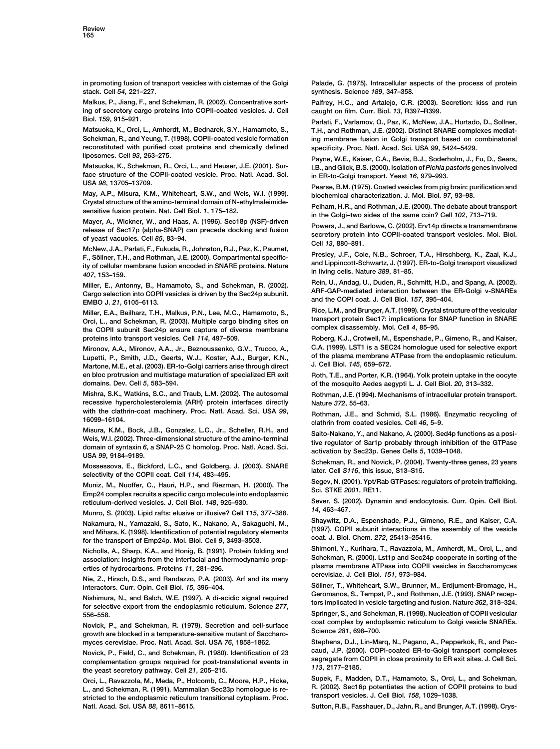**stack. Cell** *54***, 221–227. synthesis. Science** *189***, 347–358.**

**Malkus, P., Jiang, F., and Schekman, R. (2002). Concentrative sort- Palfrey, H.C., and Artalejo, C.R. (2003). Secretion: kiss and run ing of secretory cargo proteins into COPII-coated vesicles. J. Cell caught on film. Curr. Biol.** *13***, R397–R399.**

**Matsuoka, K., Orci, L., Amherdt, M., Bednarek, S.Y., Hamamoto, S., T.H., and Rothman, J.E. (2002). Distinct SNARE complexes mediatreconstituted with purified coat proteins and chemically defined specificity. Proc. Natl. Acad. Sci. USA** *99***, 5424–5429.**

**face structure of the COPII-coated vesicle. Proc. Natl. Acad. Sci. in ER-to-Golgi transport. Yeast** *16***, 979–993. USA** *<sup>98</sup>***, 13705–13709. Pearse, B.M. (1975). Coated vesicles from pig brain: purification and**

**May, A.P., Misura, K.M., Whiteheart, S.W., and Weis, W.I. (1999). biochemical characterization. J. Mol. Biol.** *97***, 93–98.**

Mayer, A., Wickner, W., and Haas, A. (1996). Sec18p (NSF)-driven<br>
release of Sec17p (alpha-SNAP) can precede docking and fusion<br>
of yeast vacuoles. Cell 85, 83–94.<br>
McNew, J.A., Parlati, F., Fukuda, R., Johnston, R.J., Paz

Cargo selection into COPII vesicles is driven by the Sec24p subunit.<br>EMBO J. 21, 6105–6113.<br>Miller E.A. Beilberz T.H. Malkus P.N. Lee M.C. Hamamoto S. Rice, L.M., and Brunger, A.T. (1999). Crystal structure of the vesicula

**Orci, L., and Schekman, R. (2003). Multiple cargo binding sites on transport protein Sec17: implications for SNAP functions for SNAP functions for SNAP functions for SNAP functions for SNAP functions in SNAP function in S complex disassembly. Mol. Cell** *4***, 85–95. the COPII subunit Sec24p ensure capture of diverse membrane proteins into transport vesicles. Cell** *114***, 497–509. Roberg, K.J., Crotwell, M., Espenshade, P., Gimeno, R., and Kaiser,**

**Lupetti, P., Smith, J.D., Geerts, W.J., Koster, A.J., Burger, K.N., of the plasma membrane ATPase from the endoplasmic reticulum. Martone, M.E., et al. (2003). ER-to-Golgi carriers arise through direct en bloc protrusion and multistage maturation of specialized ER exit Roth, T.E., and Porter, K.R. (1964). Yolk protein uptake in the oocyte domains. Dev. Cell** *5***, 583–594. of the mosquito Aedes aegypti L. J. Cell Biol.** *20***, 313–332.**

**Mishra, S.K., Watkins, S.C., and Traub, L.M. (2002). The autosomal Rothman, J.E. (1994). Mechanisms of intracellular protein transport. recessive hypercholesterolemia (ARH) protein interfaces directly Mature 372, 55–63.**<br>with the clathrin-coat machinery. Proc. Natl. Acad. Sci. USA 99, Pothman LE and

Misura, K.M., Bock, J.B., Gorizalez, L.C., Jr., Scheller, R.H., and<br>Weis, W.I. (2002). Three-dimensional structure of the amino-terminal<br>domain of syntaxin 6, a SNAP-25 C homolog. Proc. Natl. Acad. Sci.<br>USA 99, 9184–9189.<br>

Mossessova, E., Bickford, L.C., and Goldberg, J. (2003). SNARE<br>selectivity of the COPII coat. Cell 114, 483–495.<br>Muniz M. Nuclear C. Hauri H.D. and Disputes U. (2000). The Segev, N. (2001). Ypt/Rab GTPases: regulators of p

Muniz, M., Nuoffer, C., Hauri, H.P., and Riezman, H. (2000). The Guest, N. (2001). The Emp24 complex recruits a specific cargo molecule into endoplasmic Sci. STKE 2001, RE11.

*<sup>14</sup>***, 463–467. Munro, S. (2003). Lipid rafts: elusive or illusive? Cell** *<sup>115</sup>***, 377–388.**

Nakamura, N., Yamazaki, S., Sato, K., Nakano, A., Sakaguchi, M., Shaywitz, D.A., Espenshade, P.J., Gimeno, R.E., and Kaiser, C.A.<br>and Mihara, K. (1998). Identification of potential regulatory elements (1997). COPII subunit

**cerevisiae. J. Cell Biol.** *<sup>151</sup>***, 973–984. Nie, Z., Hirsch, D.S., and Randazzo, P.A. (2003). Arf and its many**

Nishimura, N., and Balch, W.E. (1997). A di-acidic signal required<br>for selective export from the endoplasmic reticulum. Science 277, tors implicated in vesicle targeting and fusion. Nature 362, 318–324. **556–558. Springer, S., and Schekman, R. (1998). Nucleation of COPII vesicular**

Novick, P., and Schekman, R. (1979). Secretion and cell-surface coat complex by endoplasmic reticulum to Golgi vesicle SNAREs.<br>growth are blocked in a temperature-sensitive mutant of Saccharo- Science 281, 698–700. **myces cerevisiae. Proc. Natl. Acad. Sci. USA** *76***, 1858–1862. Stephens, D.J., Lin-Marq, N., Pagano, A., Pepperkok, R., and Pac-**

L., and Schekman, R. (1991). Mammalian Sec23p homologue is re-<br>stricted to the endoplasmic reticulum transitional cytoplasm. Proc. Transport vesicles. J. Cell Biol. 158, 1029–1038. **Natl. Acad. Sci. USA** *88***, 8611–8615. Sutton, R.B., Fasshauer, D., Jahn, R., and Brunger, A.T. (1998). Crys-**

**in promoting fusion of transport vesicles with cisternae of the Golgi Palade, G. (1975). Intracellular aspects of the process of protein**

**Biol.** *<sup>159</sup>***, 915–921. Parlati, F., Varlamov, O., Paz, K., McNew, J.A., Hurtado, D., Sollner,** ing membrane fusion in Golgi transport based on combinatorial

**liposomes. Cell** *<sup>93</sup>***, 263–275. Payne, W.E., Kaiser, C.A., Bevis, B.J., Soderholm, J., Fu, D., Sears, Matsuoka, K., Schekman, R., Orci, L., and Heuser, J.E. (2001). Sur- I.B., and Glick, B.S. (2000). Isolation of** *Pichia pastoris* **genes involved**

Crystal structure of the animo-terminal domain of N-eurylinatements<br>sensitive fusion protein. Nat. Cell Biol. 1, 175–182.<br>Mayer, A., Wickner, W., and Haas, A. (1996). Sec18p (NSF)-driven<br>Desired Land Darkow, A. (2000). Fir

**Miller, E., Antonny, B., Hamamoto, S., and Schekman, R. (2002). Rein, U., Andag, U., Duden, R., Schmitt, H.D., and Spang, A. (2002).**

**Miller, E.A., Beilharz, T.H., Malkus, P.N., Lee, M.C., Hamamoto, S., Rice, L.M., and Brunger, A.T. (1999). Crystal structure of the vesicular**

**Mironov, A.A., Mironov, A.A., Jr., Beznoussenko, G.V., Trucco, A., C.A. (1999). LST1 is a SEC24 homologue used for selective export**

with the clathrin-coat machinery. Proc. Nati. Acad. Sci. USA 99,<br>16099–16104.<br>Misura, K.M., Bock, J.B., Gonzalez, L.C., Jr., Scheller, R.H., and<br>Misura, K.M., Bock, J.B., Gonzalez, L.C., Jr., Scheller, R.H., and<br>Nisura, K.

**Sever, S. (2002). Dynamin and endocytosis. Curr. Opin. Cell Biol. reticulum-derived vesicles. J. Cell Biol.** *148***, 925–930.**

**Nicholls, A., Sharp, K.A., and Honig, B. (1991). Protein folding and Shimoni, Y., Kurihara, T., Ravazzola, M., Amherdt, M., Orci, L., and** association: insights from the interfacial and thermodynamic prop-<br>erties of hydrocarbons. Proteins 11, 281–296.<br>cerevisiae. J. Cell Biol. 151. 973–984.<br>cerevisiae. J. Cell Biol. 151. 973–984.

**Söllner, T., Whiteheart, S.W., Brunner, M., Erdjument-Bromage, H.,**<br>Michimure, N., end Beleh W.E. (1993), A di esidie signal required Geromanos, S., Tempst, P., and Rothman, J.E. (1993). SNAP recep-

Novick, P., Field, C., and Schekman, R. (1980). Identification of 23 caud, J.P. (2000). COPI-coated ER-to-Golgi transport complexes complementation groups required for post-translational events in segregate from COPII in c

**Orci, L., Ravazzola, M., Meda, P., Holcomb, C., Moore, H.P., Hicke, Supek, F., Madden, D.T., Hamamoto, S., Orci, L., and Schekman,**